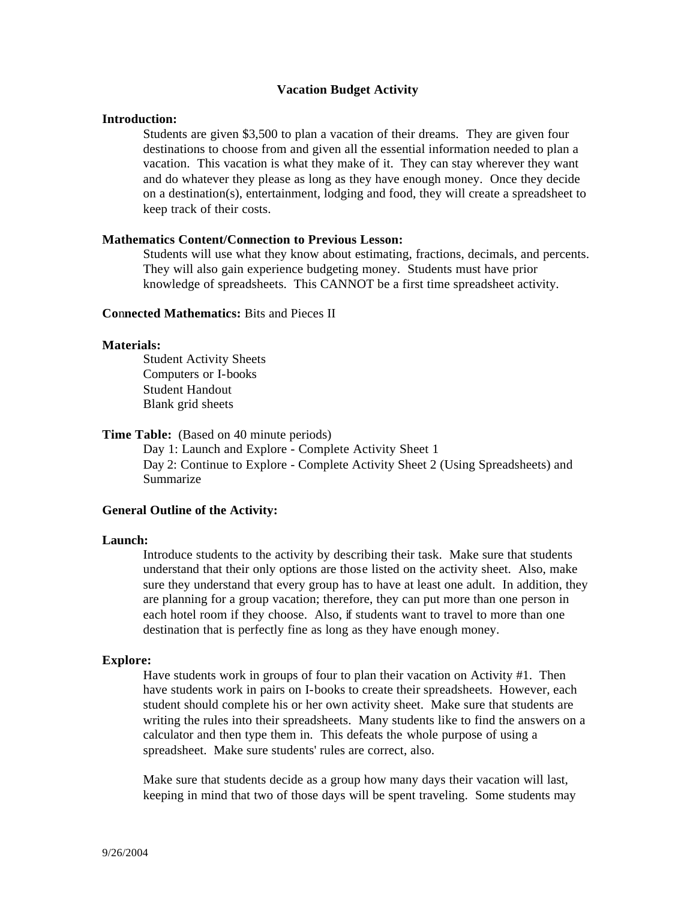#### **Vacation Budget Activity**

### **Introduction:**

Students are given \$3,500 to plan a vacation of their dreams. They are given four destinations to choose from and given all the essential information needed to plan a vacation. This vacation is what they make of it. They can stay wherever they want and do whatever they please as long as they have enough money. Once they decide on a destination(s), entertainment, lodging and food, they will create a spreadsheet to keep track of their costs.

#### **Mathematics Content/Connection to Previous Lesson:**

Students will use what they know about estimating, fractions, decimals, and percents. They will also gain experience budgeting money. Students must have prior knowledge of spreadsheets. This CANNOT be a first time spreadsheet activity.

#### **Co**n**nected Mathematics:** Bits and Pieces II

#### **Materials:**

Student Activity Sheets Computers or I-books Student Handout Blank grid sheets

### **Time Table:** (Based on 40 minute periods)

Day 1: Launch and Explore - Complete Activity Sheet 1 Day 2: Continue to Explore - Complete Activity Sheet 2 (Using Spreadsheets) and Summarize

#### **General Outline of the Activity:**

#### **Launch:**

Introduce students to the activity by describing their task. Make sure that students understand that their only options are those listed on the activity sheet. Also, make sure they understand that every group has to have at least one adult. In addition, they are planning for a group vacation; therefore, they can put more than one person in each hotel room if they choose. Also, if students want to travel to more than one destination that is perfectly fine as long as they have enough money.

#### **Explore:**

Have students work in groups of four to plan their vacation on Activity #1. Then have students work in pairs on I-books to create their spreadsheets. However, each student should complete his or her own activity sheet. Make sure that students are writing the rules into their spreadsheets. Many students like to find the answers on a calculator and then type them in. This defeats the whole purpose of using a spreadsheet. Make sure students' rules are correct, also.

Make sure that students decide as a group how many days their vacation will last, keeping in mind that two of those days will be spent traveling. Some students may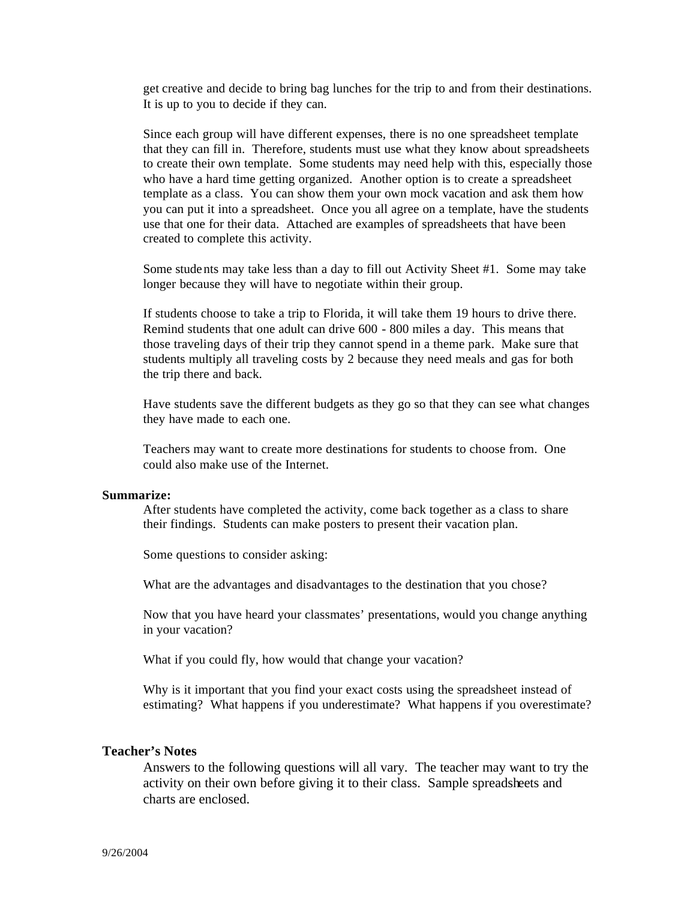get creative and decide to bring bag lunches for the trip to and from their destinations. It is up to you to decide if they can.

Since each group will have different expenses, there is no one spreadsheet template that they can fill in. Therefore, students must use what they know about spreadsheets to create their own template. Some students may need help with this, especially those who have a hard time getting organized. Another option is to create a spreadsheet template as a class. You can show them your own mock vacation and ask them how you can put it into a spreadsheet. Once you all agree on a template, have the students use that one for their data. Attached are examples of spreadsheets that have been created to complete this activity.

Some stude nts may take less than a day to fill out Activity Sheet #1. Some may take longer because they will have to negotiate within their group.

If students choose to take a trip to Florida, it will take them 19 hours to drive there. Remind students that one adult can drive 600 - 800 miles a day. This means that those traveling days of their trip they cannot spend in a theme park. Make sure that students multiply all traveling costs by 2 because they need meals and gas for both the trip there and back.

Have students save the different budgets as they go so that they can see what changes they have made to each one.

Teachers may want to create more destinations for students to choose from. One could also make use of the Internet.

#### **Summarize:**

After students have completed the activity, come back together as a class to share their findings. Students can make posters to present their vacation plan.

Some questions to consider asking:

What are the advantages and disadvantages to the destination that you chose?

Now that you have heard your classmates' presentations, would you change anything in your vacation?

What if you could fly, how would that change your vacation?

Why is it important that you find your exact costs using the spreadsheet instead of estimating? What happens if you underestimate? What happens if you overestimate?

### **Teacher's Notes**

Answers to the following questions will all vary. The teacher may want to try the activity on their own before giving it to their class. Sample spreadsheets and charts are enclosed.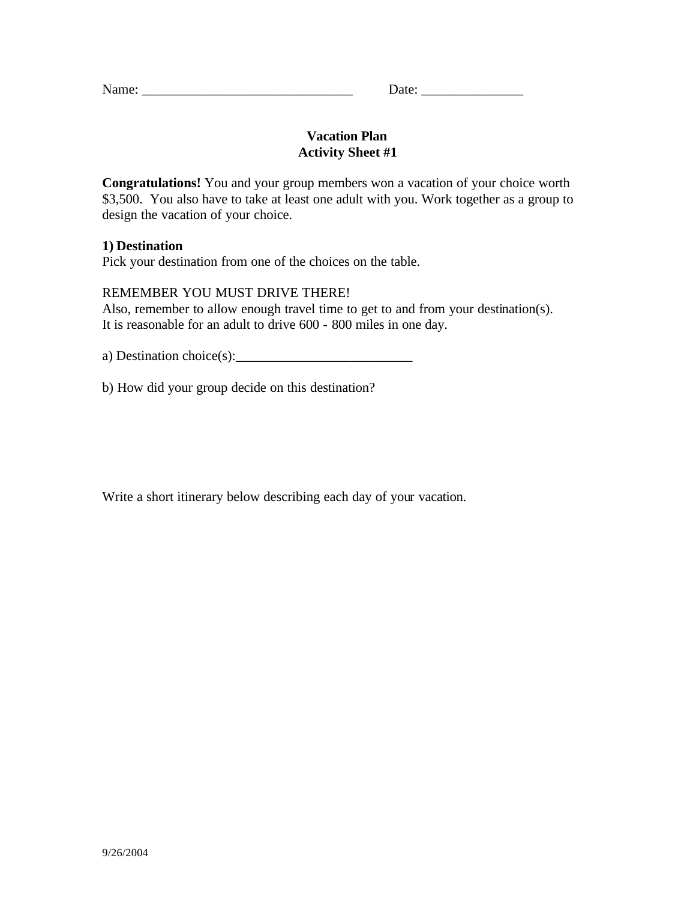| Name:<br>TVAIIIU. | ate |
|-------------------|-----|
|                   |     |

## **Vacation Plan Activity Sheet #1**

**Congratulations!** You and your group members won a vacation of your choice worth \$3,500. You also have to take at least one adult with you. Work together as a group to design the vacation of your choice.

## **1) Destination**

Pick your destination from one of the choices on the table.

## REMEMBER YOU MUST DRIVE THERE!

Also, remember to allow enough travel time to get to and from your destination(s). It is reasonable for an adult to drive 600 - 800 miles in one day.

a) Destination choice $(s)$ :

b) How did your group decide on this destination?

Write a short itinerary below describing each day of your vacation.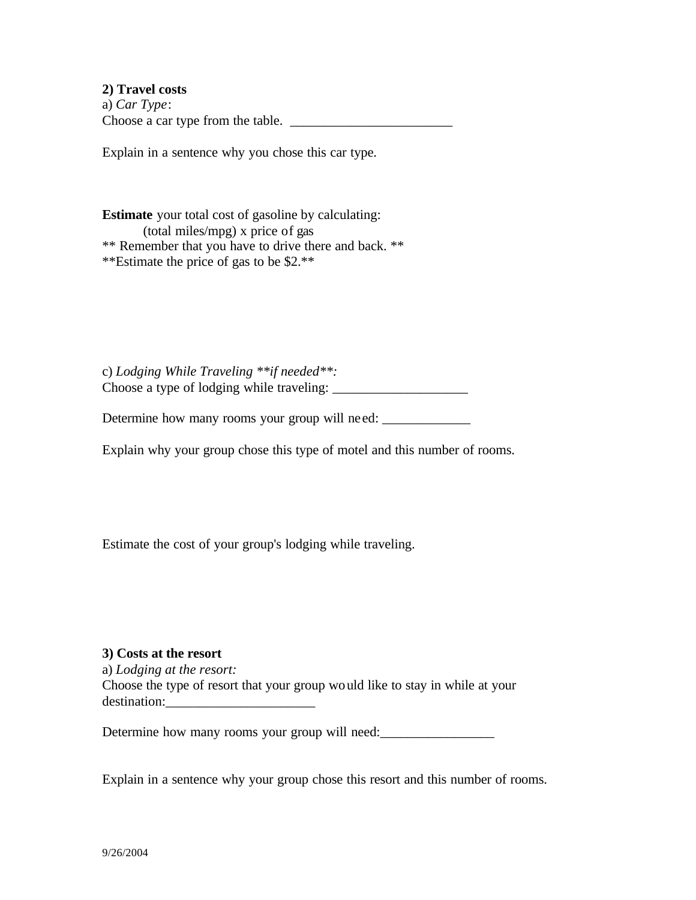**2) Travel costs** a) *Car Type*: Choose a car type from the table. \_\_\_\_\_\_\_\_\_\_\_\_\_\_\_\_\_\_\_\_\_\_\_\_

Explain in a sentence why you chose this car type.

**Estimate** your total cost of gasoline by calculating: (total miles/mpg) x price of gas \*\* Remember that you have to drive there and back. \*\* \*\*Estimate the price of gas to be \$2.\*\*

c) *Lodging While Traveling \*\*if needed\*\*:* Choose a type of lodging while traveling: \_\_\_\_\_\_\_\_\_\_\_\_\_\_\_\_\_\_\_\_

Determine how many rooms your group will need: \_\_\_\_\_\_\_\_\_\_\_\_\_\_\_\_\_\_\_\_\_\_\_\_\_\_\_\_\_\_\_\_\_\_

Explain why your group chose this type of motel and this number of rooms.

Estimate the cost of your group's lodging while traveling.

### **3) Costs at the resort**

a) *Lodging at the resort:* Choose the type of resort that your group would like to stay in while at your destination:

Determine how many rooms your group will need:

Explain in a sentence why your group chose this resort and this number of rooms.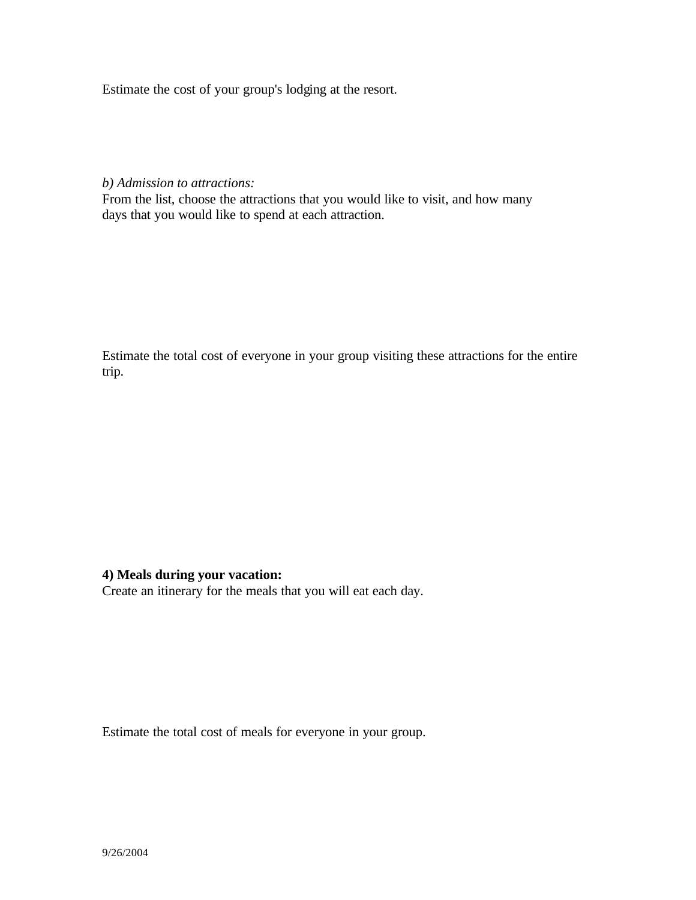Estimate the cost of your group's lodging at the resort.

*b) Admission to attractions:*

From the list, choose the attractions that you would like to visit, and how many days that you would like to spend at each attraction.

Estimate the total cost of everyone in your group visiting these attractions for the entire trip.

### **4) Meals during your vacation:**

Create an itinerary for the meals that you will eat each day.

Estimate the total cost of meals for everyone in your group.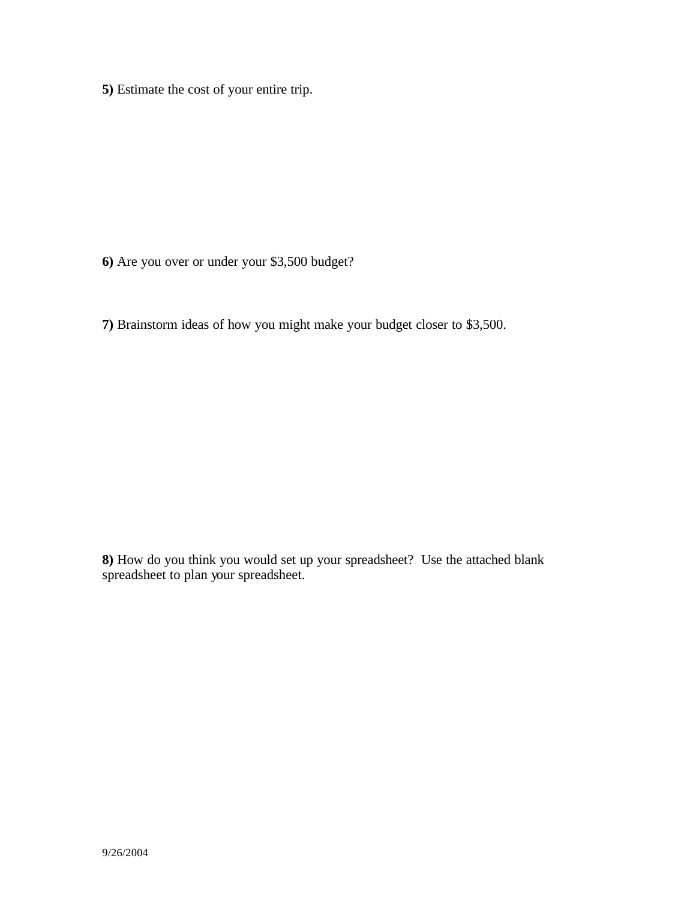**5)** Estimate the cost of your entire trip.

- **6)** Are you over or under your \$3,500 budget?
- **7)** Brainstorm ideas of how you might make your budget closer to \$3,500.

**8)** How do you think you would set up your spreadsheet? Use the attached blank spreadsheet to plan your spreadsheet.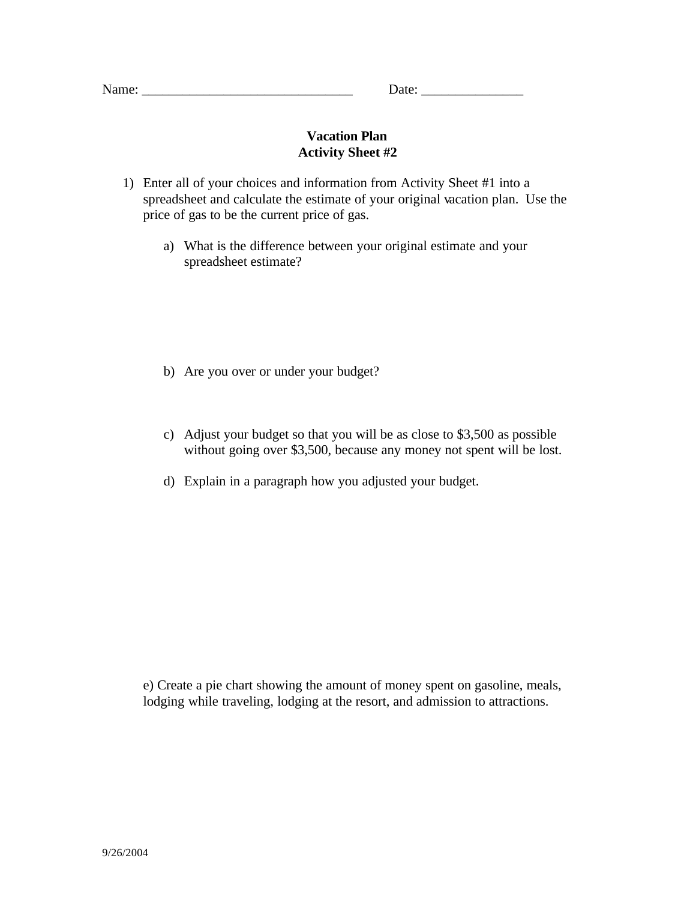|  | Name: |  |
|--|-------|--|
|  |       |  |

Date:

## **Vacation Plan Activity Sheet #2**

- 1) Enter all of your choices and information from Activity Sheet #1 into a spreadsheet and calculate the estimate of your original vacation plan. Use the price of gas to be the current price of gas.
	- a) What is the difference between your original estimate and your spreadsheet estimate?

- b) Are you over or under your budget?
- c) Adjust your budget so that you will be as close to \$3,500 as possible without going over \$3,500, because any money not spent will be lost.
- d) Explain in a paragraph how you adjusted your budget.

e) Create a pie chart showing the amount of money spent on gasoline, meals, lodging while traveling, lodging at the resort, and admission to attractions.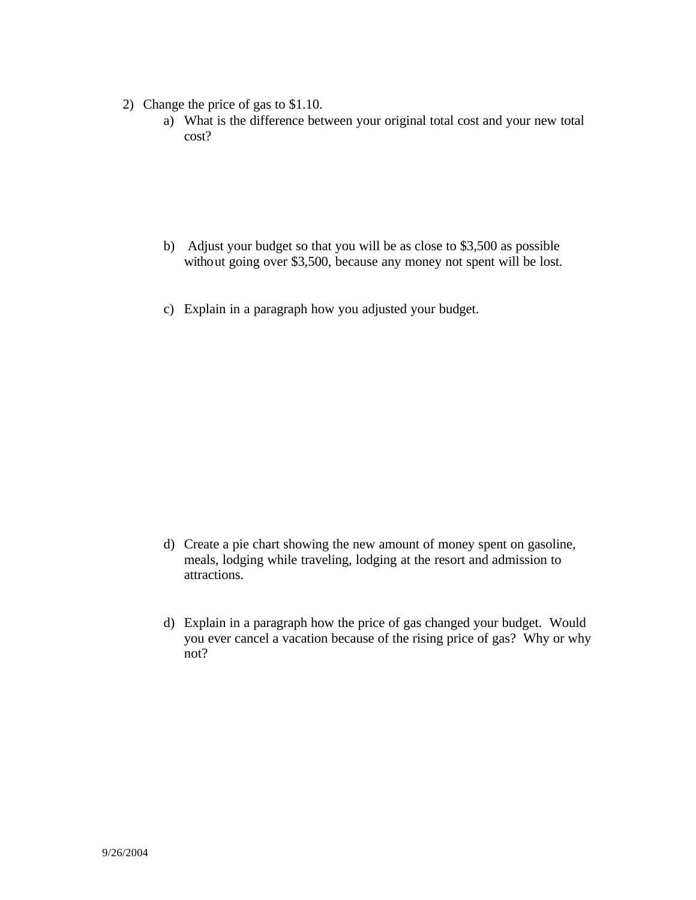- 2) Change the price of gas to \$1.10.
	- a) What is the difference between your original total cost and your new total cost?

- b) Adjust your budget so that you will be as close to \$3,500 as possible without going over \$3,500, because any money not spent will be lost.
- c) Explain in a paragraph how you adjusted your budget.

- d) Create a pie chart showing the new amount of money spent on gasoline, meals, lodging while traveling, lodging at the resort and admission to attractions.
- d) Explain in a paragraph how the price of gas changed your budget. Would you ever cancel a vacation because of the rising price of gas? Why or why not?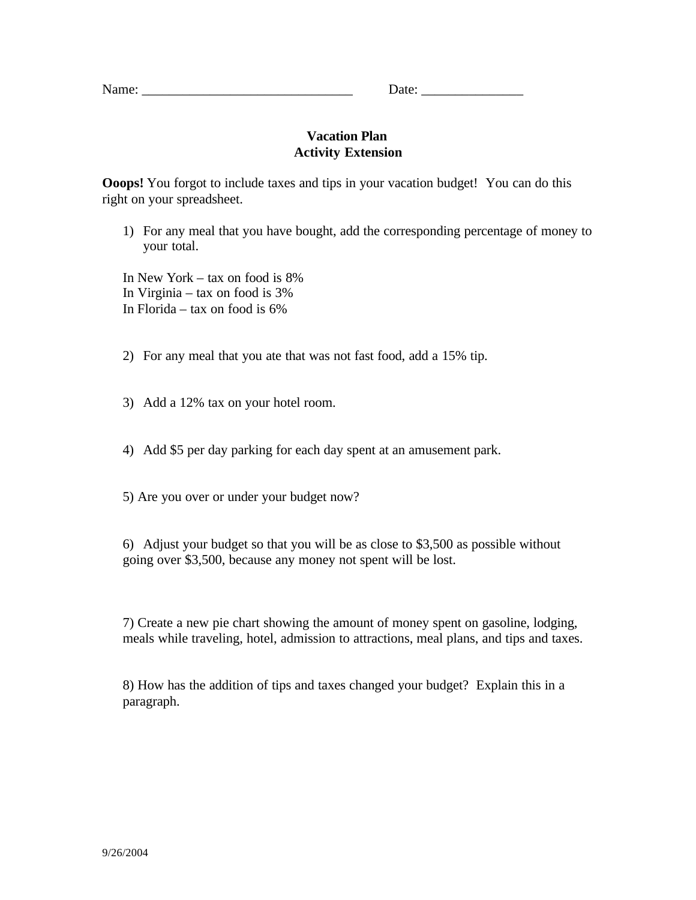## **Vacation Plan Activity Extension**

**Ooops!** You forgot to include taxes and tips in your vacation budget! You can do this right on your spreadsheet.

1) For any meal that you have bought, add the corresponding percentage of money to your total.

In New York – tax on food is 8% In Virginia – tax on food is 3% In Florida – tax on food is 6%

2) For any meal that you ate that was not fast food, add a 15% tip.

- 3) Add a 12% tax on your hotel room.
- 4) Add \$5 per day parking for each day spent at an amusement park.

5) Are you over or under your budget now?

6) Adjust your budget so that you will be as close to \$3,500 as possible without going over \$3,500, because any money not spent will be lost.

7) Create a new pie chart showing the amount of money spent on gasoline, lodging, meals while traveling, hotel, admission to attractions, meal plans, and tips and taxes.

8) How has the addition of tips and taxes changed your budget? Explain this in a paragraph.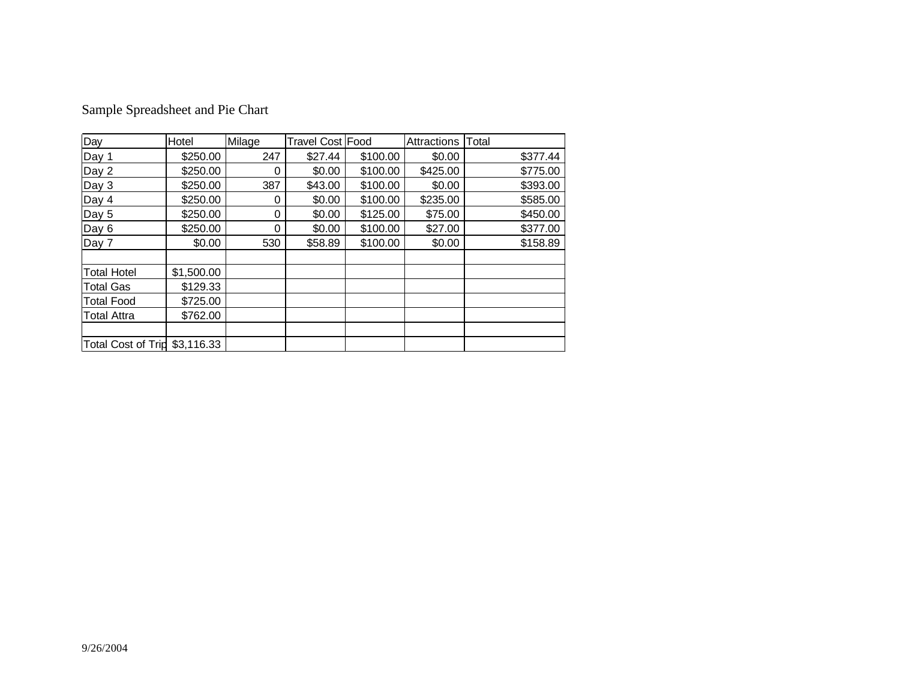| Sample Spreadsheet and Pie Chart |
|----------------------------------|
|----------------------------------|

| Day                           | Hotel      | Milage | Travel Cost Food |          | Attractions | Total    |
|-------------------------------|------------|--------|------------------|----------|-------------|----------|
| Day 1                         | \$250.00   | 247    | \$27.44          | \$100.00 | \$0.00      | \$377.44 |
| Day 2                         | \$250.00   | 0      | \$0.00           | \$100.00 | \$425.00    | \$775.00 |
| Day 3                         | \$250.00   | 387    | \$43.00          | \$100.00 | \$0.00      | \$393.00 |
| Day 4                         | \$250.00   | 0      | \$0.00           | \$100.00 | \$235.00    | \$585.00 |
| Day 5                         | \$250.00   | 0      | \$0.00           | \$125.00 | \$75.00     | \$450.00 |
| Day 6                         | \$250.00   | 0      | \$0.00           | \$100.00 | \$27.00     | \$377.00 |
| Day 7                         | \$0.00     | 530    | \$58.89          | \$100.00 | \$0.00      | \$158.89 |
|                               |            |        |                  |          |             |          |
| <b>Total Hotel</b>            | \$1,500.00 |        |                  |          |             |          |
| <b>Total Gas</b>              | \$129.33   |        |                  |          |             |          |
| <b>Total Food</b>             | \$725.00   |        |                  |          |             |          |
| <b>Total Attra</b>            | \$762.00   |        |                  |          |             |          |
|                               |            |        |                  |          |             |          |
| Total Cost of Trip \$3,116.33 |            |        |                  |          |             |          |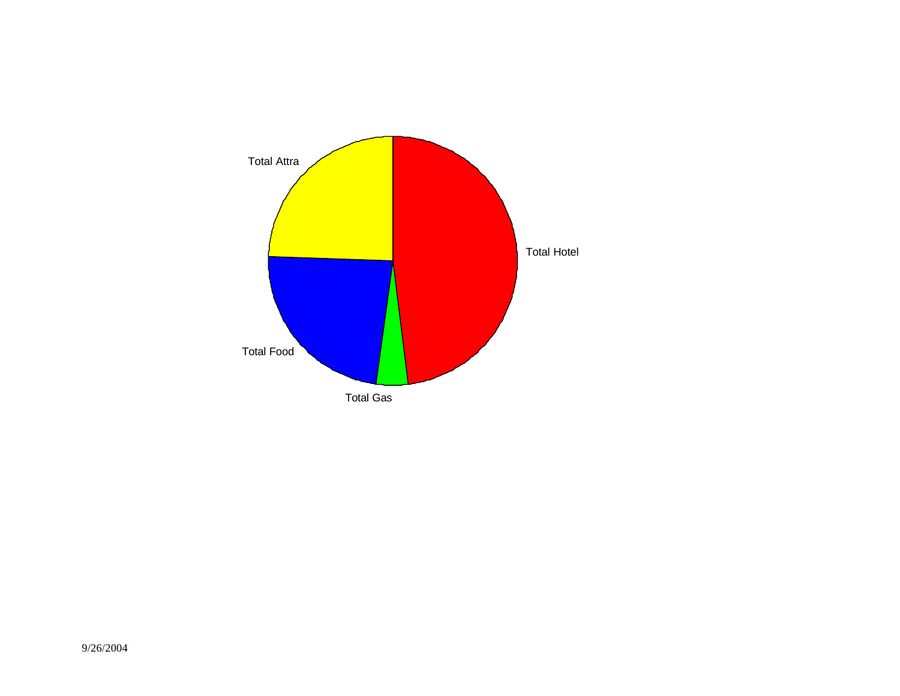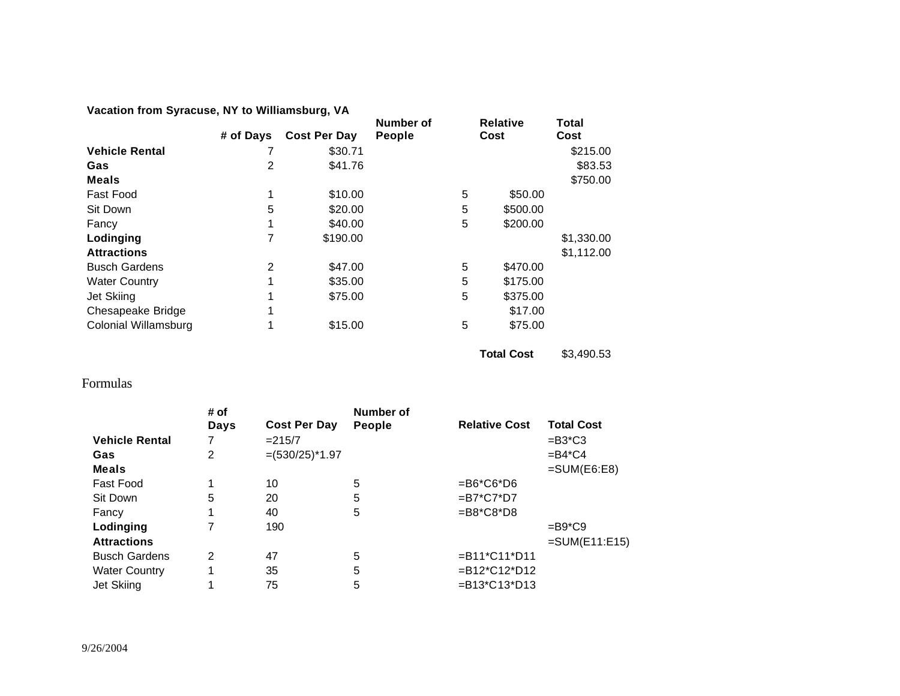**Vacation from Syracuse, NY to Williamsburg, VA**

|                       |           |                     | Number of     |   | <b>Relative</b> | Total      |
|-----------------------|-----------|---------------------|---------------|---|-----------------|------------|
|                       | # of Days | <b>Cost Per Day</b> | <b>People</b> |   | Cost            | Cost       |
| <b>Vehicle Rental</b> |           | \$30.71             |               |   |                 | \$215.00   |
| Gas                   | 2         | \$41.76             |               |   |                 | \$83.53    |
| <b>Meals</b>          |           |                     |               |   |                 | \$750.00   |
| <b>Fast Food</b>      | 1         | \$10.00             |               | 5 | \$50.00         |            |
| Sit Down              | 5         | \$20.00             |               | 5 | \$500.00        |            |
| Fancy                 | 1         | \$40.00             |               | 5 | \$200.00        |            |
| Lodinging             | 7         | \$190.00            |               |   |                 | \$1,330.00 |
| <b>Attractions</b>    |           |                     |               |   |                 | \$1,112.00 |
| <b>Busch Gardens</b>  | 2         | \$47.00             |               | 5 | \$470.00        |            |
| <b>Water Country</b>  | 1         | \$35.00             |               | 5 | \$175.00        |            |
| Jet Skiing            | 1         | \$75.00             |               | 5 | \$375.00        |            |
| Chesapeake Bridge     | 1         |                     |               |   | \$17.00         |            |
| Colonial Willamsburg  | 1         | \$15.00             |               | 5 | \$75.00         |            |

**Total Cost** \$3,490.53

# Formulas

| # of |                     | <b>Number of</b> |                               |                   |
|------|---------------------|------------------|-------------------------------|-------------------|
| Days | <b>Cost Per Day</b> | <b>People</b>    | <b>Relative Cost</b>          | <b>Total Cost</b> |
| 7    | $= 215/7$           |                  |                               | $=$ B3*C3         |
| 2    | $=(530/25)^*1.97$   |                  |                               | $=$ B4*C4         |
|      |                     |                  |                               | $=SUM(EG:EB)$     |
| 1    | 10                  | 5                | $=$ B6*C6*D6                  |                   |
| 5    | 20                  | 5                | $= B7^{\ast}C7^{\ast}D7$      |                   |
| 1    | 40                  | 5                | $= B8*C8*D8$                  |                   |
|      | 190                 |                  |                               | $=$ B9*C9         |
|      |                     |                  |                               | $=$ SUM(E11:E15)  |
| 2    | 47                  | 5                | $=$ B11*C11*D11               |                   |
| 1    | 35                  | 5                | $= B12*C12*D12$               |                   |
| 1    | 75                  | 5                | $= B13 \times C13 \times D13$ |                   |
|      |                     |                  |                               |                   |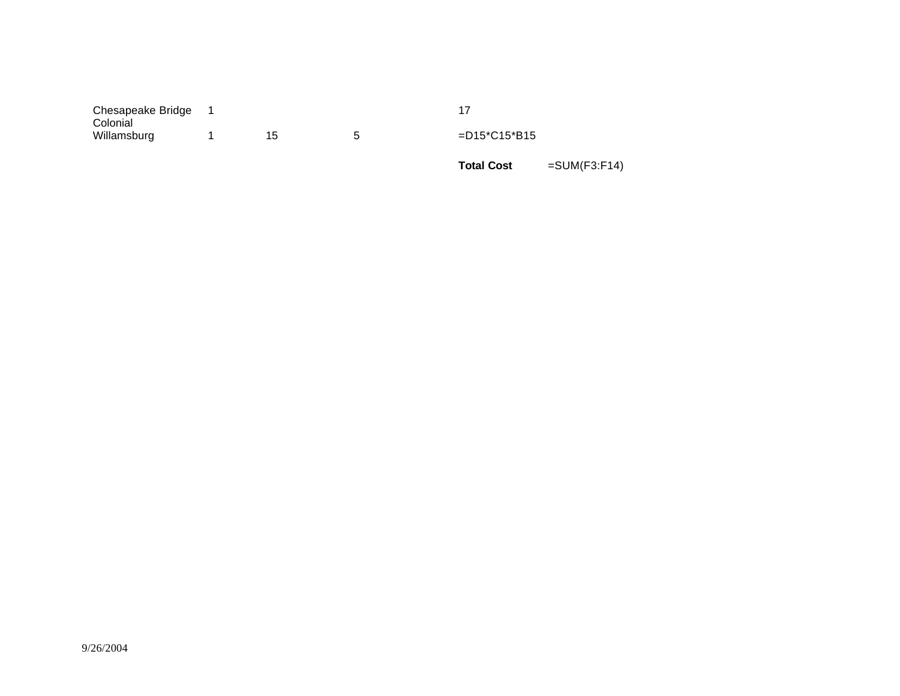| Chesapeake Bridge<br>Colonial |  |                 |
|-------------------------------|--|-----------------|
| Willamsburg                   |  | $=$ D15*C15*B15 |

**Total Cost** =SUM(F3:F14)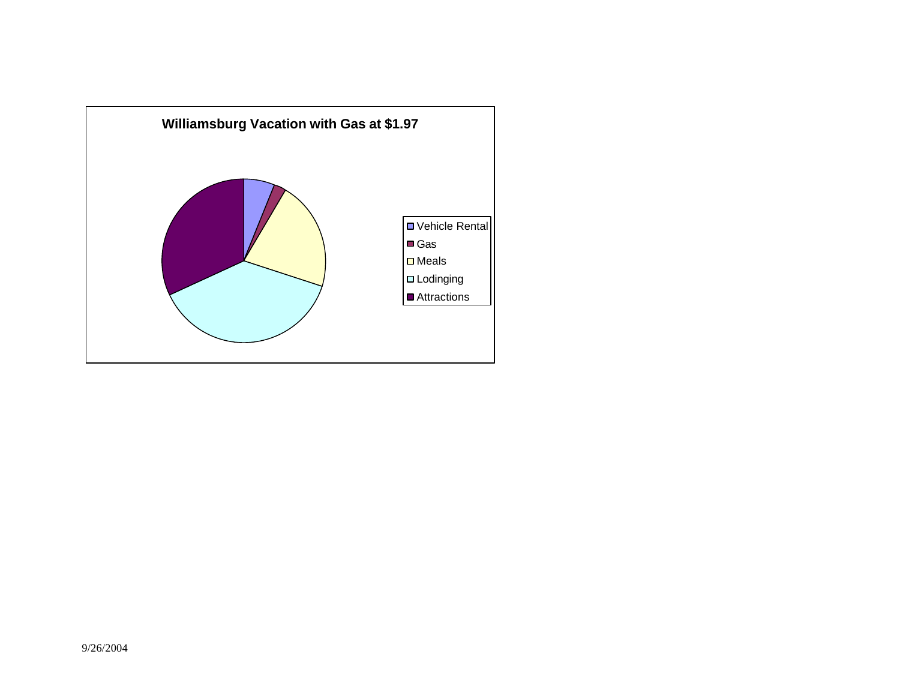